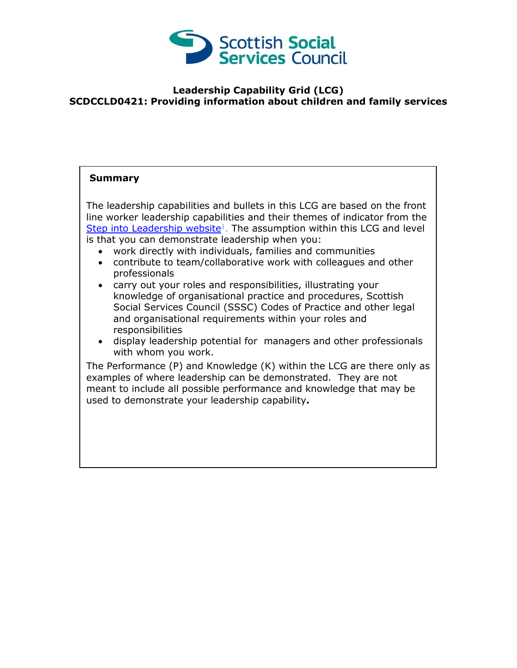

## **Leadership Capability Grid (LCG) SCDCCLD0421: Providing information about children and family services**

## **Summary**

The leadership capabilities and bullets in this LCG are based on the front line worker leadership capabilities and their themes of indicator from the [Step into Leadership website](http://www.stepintoleadership.info/)<sup>1</sup>. The assumption within this LCG and level is that you can demonstrate leadership when you:

- work directly with individuals, families and communities
- contribute to team/collaborative work with colleagues and other professionals
- carry out your roles and responsibilities, illustrating your knowledge of organisational practice and procedures, Scottish Social Services Council (SSSC) Codes of Practice and other legal and organisational requirements within your roles and responsibilities
- display leadership potential for managers and other professionals with whom you work.

The Performance (P) and Knowledge (K) within the LCG are there only as examples of where leadership can be demonstrated. They are not meant to include all possible performance and knowledge that may be used to demonstrate your leadership capability**.**